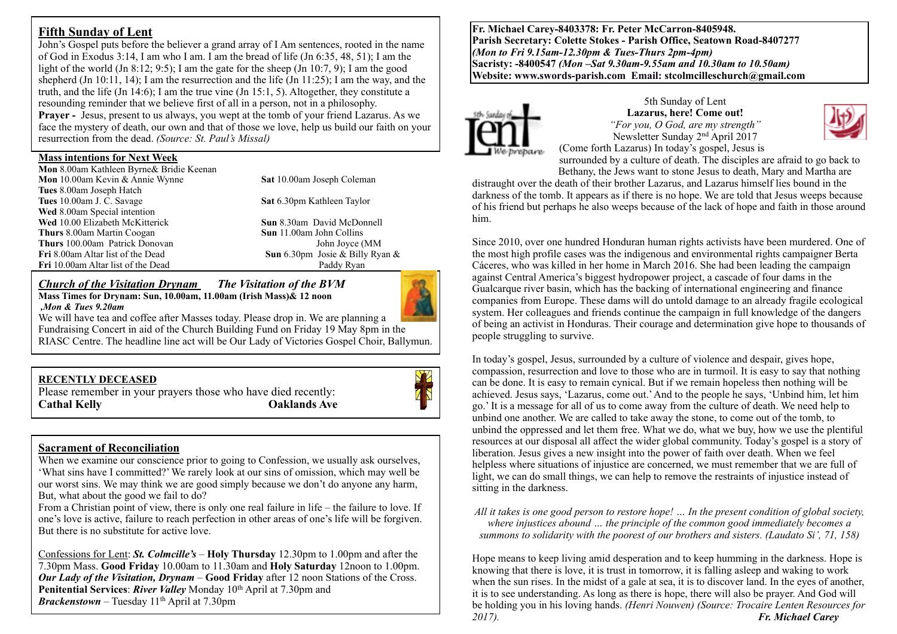### **Fifth Sunday of Lent**

John's Gospel puts before the believer a grand array of I Am sentences, rooted in the name of God in Exodus 3:14, I am who I am. I am the bread of life (Jn 6:35, 48, 51); I am the light of the world (Jn 8:12; 9:5); I am the gate for the sheep (Jn 10:7, 9); I am the good shepherd (Jn 10:11, 14); I am the resurrection and the life (Jn 11:25); I am the way, and the truth, and the life (Jn 14:6); I am the true vine (Jn 15:1, 5). Altogether, they constitute a resounding reminder that we believe first of all in a person, not in a philosophy. **Prayer -** Jesus, present to us always, you wept at the tomb of your friend Lazarus. As we face the mystery of death, our own and that of those we love, help us build our faith on your resurrection from the dead. *(Source: St. Paul's Missal)*

#### **Mass intentions for Next Week**

| Mon 8.00am Kathleen Byrne & Bridie Keenan |                                   |
|-------------------------------------------|-----------------------------------|
| Mon 10.00am Kevin & Annie Wynne           | Sat 10.00am Joseph Coleman        |
| Tues 8.00am Joseph Hatch                  |                                   |
| Tues 10.00am J. C. Savage                 | Sat 6.30pm Kathleen Taylor        |
| Wed 8.00am Special intention              |                                   |
| Wed 10.00 Elizabeth McKitterick           | <b>Sun</b> 8.30am David McDonnell |
| <b>Thurs</b> 8.00am Martin Coogan         | <b>Sun</b> 11.00am John Collins   |
| Thurs 100.00am Patrick Donovan            | John Joyce (MM                    |
| <b>Fri</b> 8.00am Altar list of the Dead  | Sun 6.30pm Josie & Billy Ryan &   |
| Fri 10.00am Altar list of the Dead        | Paddy Ryan                        |
|                                           |                                   |

#### *Church of the Visitation Drynam**The Visitation of the BVM* **Mass Times for Drynam: Sun, 10.00am, 11.00am (Irish Mass)& 12 noon**   *,Mon & Tues 9.20am*



We will have tea and coffee after Masses today. Please drop in. We are planning a Fundraising Concert in aid of the Church Building Fund on Friday 19 May 8pm in the RIASC Centre. The headline line act will be Our Lady of Victories Gospel Choir, Ballymun.

#### **RECENTLY DECEASED**

Please remember in your prayers those who have died recently: **Cathal Kelly Oaklands Ave**

#### **Sacrament of Reconciliation**

When we examine our conscience prior to going to Confession, we usually ask ourselves, 'What sins have I committed?' We rarely look at our sins of omission, which may well be our worst sins. We may think we are good simply because we don't do anyone any harm, But, what about the good we fail to do?

From a Christian point of view, there is only one real failure in life – the failure to love. If one's love is active, failure to reach perfection in other areas of one's life will be forgiven. But there is no substitute for active love.

Confessions for Lent: *St. Colmcille's* – **Holy Thursday** 12.30pm to 1.00pm and after the 7.30pm Mass. **Good Friday** 10.00am to 11.30am and **Holy Saturday** 12noon to 1.00pm. *Our Lady of the Visitation, Drynam* – **Good Friday** after 12 noon Stations of the Cross. Penitential Services: *River Valley* Monday 10<sup>th</sup> April at 7.30pm and *Brackenstown* – Tuesday  $11<sup>th</sup>$  April at 7.30pm

**Fr. Michael Carey-8403378: Fr. Peter McCarron-8405948. Parish Secretary: Colette Stokes - Parish Office, Seatown Road-8407277**  *(Mon to Fri 9.15am-12.30pm & Tues-Thurs 2pm-4pm)*  **Sacristy: -8400547** *(Mon –Sat 9.30am-9.55am and 10.30am to 10.50am)* **Website: [www.swords-parish.com Email:](http://www.swords-parish.com%20%20email) stcolmcilleschurch@gmail.com**



5th Sunday of Lent **Lazarus, here! Come out!** *"For you, O God, are my strength"*  Newsletter Sunday 2nd April 2017



(Come forth Lazarus) In today's gospel, Jesus is

surrounded by a culture of death. The disciples are afraid to go back to Bethany, the Jews want to stone Jesus to death, Mary and Martha are

distraught over the death of their brother Lazarus, and Lazarus himself lies bound in the darkness of the tomb. It appears as if there is no hope. We are told that Jesus weeps because of his friend but perhaps he also weeps because of the lack of hope and faith in those around him.

Since 2010, over one hundred Honduran human rights activists have been murdered. One of the most high profile cases was the indigenous and environmental rights campaigner Berta Cáceres, who was killed in her home in March 2016. She had been leading the campaign against Central America's biggest hydropower project, a cascade of four dams in the Gualcarque river basin, which has the backing of international engineering and finance companies from Europe. These dams will do untold damage to an already fragile ecological system. Her colleagues and friends continue the campaign in full knowledge of the dangers of being an activist in Honduras. Their courage and determination give hope to thousands of people struggling to survive.

In today's gospel, Jesus, surrounded by a culture of violence and despair, gives hope, compassion, resurrection and love to those who are in turmoil. It is easy to say that nothing can be done. It is easy to remain cynical. But if we remain hopeless then nothing will be achieved. Jesus says, 'Lazarus, come out.' And to the people he says, 'Unbind him, let him go.' It is a message for all of us to come away from the culture of death. We need help to unbind one another. We are called to take away the stone, to come out of the tomb, to unbind the oppressed and let them free. What we do, what we buy, how we use the plentiful resources at our disposal all affect the wider global community. Today's gospel is a story of liberation. Jesus gives a new insight into the power of faith over death. When we feel helpless where situations of injustice are concerned, we must remember that we are full of light, we can do small things, we can help to remove the restraints of injustice instead of sitting in the darkness.

*All it takes is one good person to restore hope! … In the present condition of global society, where injustices abound … the principle of the common good immediately becomes a summons to solidarity with the poorest of our brothers and sisters. (Laudato Si', 71, 158)* 

Hope means to keep living amid desperation and to keep humming in the darkness. Hope is knowing that there is love, it is trust in tomorrow, it is falling asleep and waking to work when the sun rises. In the midst of a gale at sea, it is to discover land. In the eyes of another, it is to see understanding. As long as there is hope, there will also be prayer. And God will be holding you in his loving hands. *(Henri Nouwen) (Source: Trocaire Lenten Resources for 2017). Fr. Michael Carey*